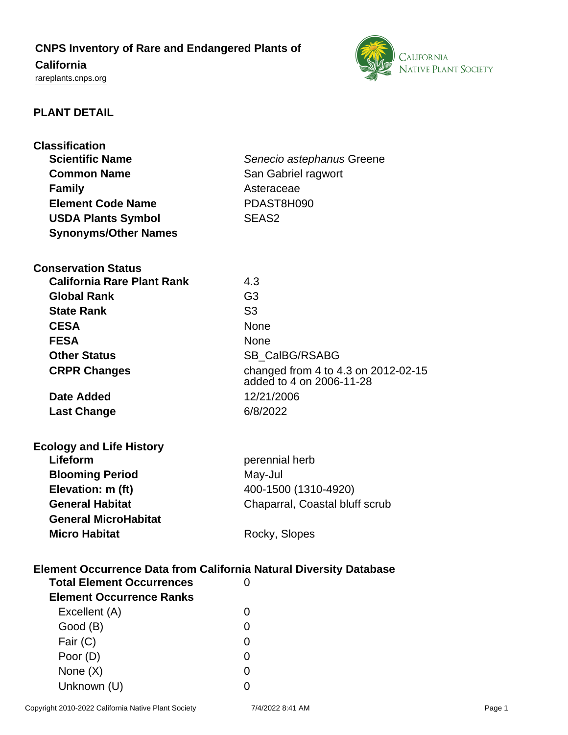# **CNPS Inventory of Rare and Endangered Plants of**

## **California**

<rareplants.cnps.org>



## **PLANT DETAIL**

| <b>Classification</b>                                                     |                                     |
|---------------------------------------------------------------------------|-------------------------------------|
| <b>Scientific Name</b>                                                    | Senecio astephanus Greene           |
| <b>Common Name</b>                                                        | San Gabriel ragwort                 |
| <b>Family</b>                                                             | Asteraceae                          |
| <b>Element Code Name</b>                                                  | PDAST8H090                          |
| <b>USDA Plants Symbol</b>                                                 | SEAS <sub>2</sub>                   |
| <b>Synonyms/Other Names</b>                                               |                                     |
| <b>Conservation Status</b>                                                |                                     |
| <b>California Rare Plant Rank</b>                                         | 4.3                                 |
| <b>Global Rank</b>                                                        | G <sub>3</sub>                      |
| <b>State Rank</b>                                                         | S <sub>3</sub>                      |
| <b>CESA</b>                                                               | <b>None</b>                         |
| <b>FESA</b>                                                               | None                                |
| <b>Other Status</b>                                                       | <b>SB CalBG/RSABG</b>               |
| <b>CRPR Changes</b>                                                       | changed from 4 to 4.3 on 2012-02-15 |
|                                                                           | added to 4 on 2006-11-28            |
| Date Added                                                                | 12/21/2006                          |
| <b>Last Change</b>                                                        | 6/8/2022                            |
|                                                                           |                                     |
| <b>Ecology and Life History</b>                                           |                                     |
| Lifeform                                                                  | perennial herb                      |
| <b>Blooming Period</b>                                                    | May-Jul                             |
| Elevation: m (ft)                                                         | 400-1500 (1310-4920)                |
| <b>General Habitat</b>                                                    | Chaparral, Coastal bluff scrub      |
| <b>General MicroHabitat</b>                                               |                                     |
| <b>Micro Habitat</b>                                                      | Rocky, Slopes                       |
|                                                                           |                                     |
| <b>Element Occurrence Data from California Natural Diversity Database</b> |                                     |
| <b>Total Element Occurrences</b>                                          | 0                                   |
| <b>Element Occurrence Ranks</b>                                           |                                     |
| Excellent (A)                                                             | $\Omega$                            |
| Good (B)                                                                  | 0                                   |
| Fair (C)                                                                  | 0                                   |
| Poor (D)                                                                  | $\Omega$                            |
| None $(X)$                                                                | $\Omega$                            |
| Unknown (U)                                                               | $\Omega$                            |